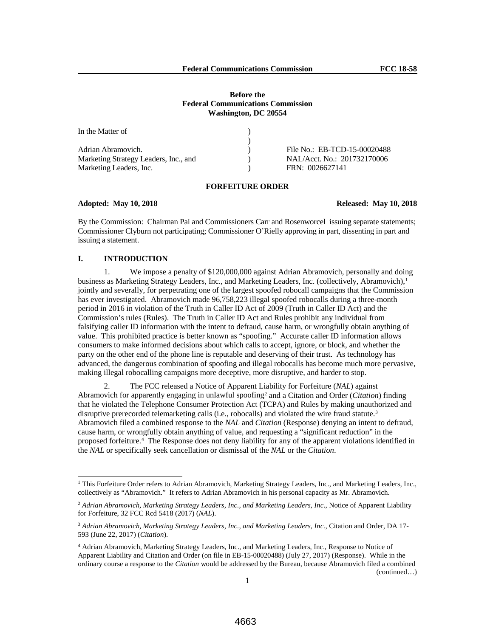| In the Matter of                      |                              |
|---------------------------------------|------------------------------|
|                                       |                              |
| Adrian Abramovich.                    | File No.: EB-TCD-15-00020488 |
| Marketing Strategy Leaders, Inc., and | NAL/Acct. No.: 201732170006  |
| Marketing Leaders, Inc.               | FRN: 0026627141              |

# **FORFEITURE ORDER**

# **Adopted: May 10, 2018 Released: May 10, 2018**

By the Commission: Chairman Pai and Commissioners Carr and Rosenworcel issuing separate statements; Commissioner Clyburn not participating; Commissioner O'Rielly approving in part, dissenting in part and issuing a statement.

# **I. INTRODUCTION**

1. We impose a penalty of \$120,000,000 against Adrian Abramovich, personally and doing business as Marketing Strategy Leaders, Inc., and Marketing Leaders, Inc. (collectively, Abramovich), 1 jointly and severally, for perpetrating one of the largest spoofed robocall campaigns that the Commission has ever investigated. Abramovich made 96,758,223 illegal spoofed robocalls during a three-month period in 2016 in violation of the Truth in Caller ID Act of 2009 (Truth in Caller ID Act) and the Commission's rules (Rules). The Truth in Caller ID Act and Rules prohibit any individual from falsifying caller ID information with the intent to defraud, cause harm, or wrongfully obtain anything of value. This prohibited practice is better known as "spoofing." Accurate caller ID information allows consumers to make informed decisions about which calls to accept, ignore, or block, and whether the party on the other end of the phone line is reputable and deserving of their trust. As technology has advanced, the dangerous combination of spoofing and illegal robocalls has become much more pervasive, making illegal robocalling campaigns more deceptive, more disruptive, and harder to stop.

2. The FCC released a Notice of Apparent Liability for Forfeiture (*NAL*) against Abramovich for apparently engaging in unlawful spoofing2 and a Citation and Order (*Citation*) finding that he violated the Telephone Consumer Protection Act (TCPA) and Rules by making unauthorized and disruptive prerecorded telemarketing calls (i.e., robocalls) and violated the wire fraud statute. 3 Abramovich filed a combined response to the *NAL* and *Citation* (Response) denying an intent to defraud, cause harm, or wrongfully obtain anything of value, and requesting a "significant reduction" in the proposed forfeiture.4 The Response does not deny liability for any of the apparent violations identified in the *NAL* or specifically seek cancellation or dismissal of the *NAL* or the *Citation*.

<sup>&</sup>lt;sup>1</sup> This Forfeiture Order refers to Adrian Abramovich, Marketing Strategy Leaders, Inc., and Marketing Leaders, Inc., collectively as "Abramovich." It refers to Adrian Abramovich in his personal capacity as Mr. Abramovich.

<sup>2</sup> *Adrian Abramovich, Marketing Strategy Leaders, Inc., and Marketing Leaders, Inc*., Notice of Apparent Liability for Forfeiture, 32 FCC Rcd 5418 (2017) (*NAL*).

<sup>3</sup> *Adrian Abramovich, Marketing Strategy Leaders, Inc., and Marketing Leaders, Inc.*, Citation and Order, DA 17- 593 (June 22, 2017) (*Citation*).

<sup>4</sup> Adrian Abramovich, Marketing Strategy Leaders, Inc., and Marketing Leaders, Inc., Response to Notice of Apparent Liability and Citation and Order (on file in EB-15-00020488) (July 27, 2017) (Response). While in the ordinary course a response to the *Citation* would be addressed by the Bureau, because Abramovich filed a combined (continued…)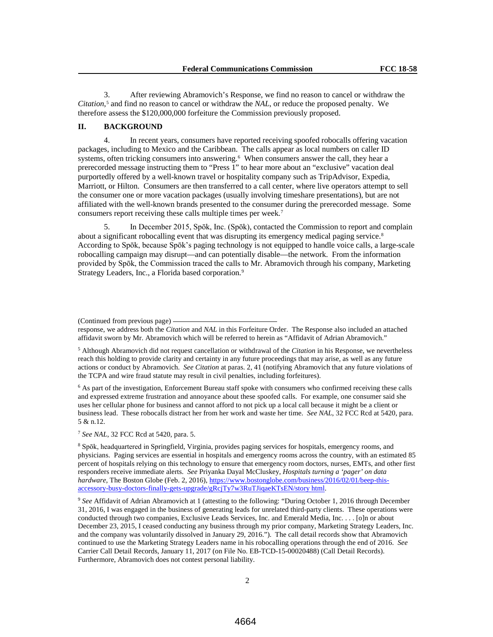3. After reviewing Abramovich's Response, we find no reason to cancel or withdraw the *Citation*, <sup>5</sup> and find no reason to cancel or withdraw the *NAL*, or reduce the proposed penalty. We therefore assess the \$120,000,000 forfeiture the Commission previously proposed.

# **II. BACKGROUND**

4. In recent years, consumers have reported receiving spoofed robocalls offering vacation packages, including to Mexico and the Caribbean. The calls appear as local numbers on caller ID systems, often tricking consumers into answering.<sup>6</sup> When consumers answer the call, they hear a prerecorded message instructing them to "Press 1" to hear more about an "exclusive" vacation deal purportedly offered by a well-known travel or hospitality company such as TripAdvisor, Expedia, Marriott, or Hilton. Consumers are then transferred to a call center, where live operators attempt to sell the consumer one or more vacation packages (usually involving timeshare presentations), but are not affiliated with the well-known brands presented to the consumer during the prerecorded message. Some consumers report receiving these calls multiple times per week.<sup>7</sup>

5. In December 2015, Spōk, Inc. (Spōk), contacted the Commission to report and complain about a significant robocalling event that was disrupting its emergency medical paging service.<sup>8</sup> According to Spōk, because Spōk's paging technology is not equipped to handle voice calls, a large-scale robocalling campaign may disrupt—and can potentially disable—the network. From the information provided by Spōk, the Commission traced the calls to Mr. Abramovich through his company, Marketing Strategy Leaders, Inc., a Florida based corporation.9

<sup>6</sup> As part of the investigation, Enforcement Bureau staff spoke with consumers who confirmed receiving these calls and expressed extreme frustration and annoyance about these spoofed calls. For example, one consumer said she uses her cellular phone for business and cannot afford to not pick up a local call because it might be a client or business lead. These robocalls distract her from her work and waste her time. *See NAL*, 32 FCC Rcd at 5420, para. 5 & n.12.

<sup>7</sup> *See NAL*, 32 FCC Rcd at 5420, para. 5.

<sup>(</sup>Continued from previous page)

response, we address both the *Citation* and *NAL* in this Forfeiture Order. The Response also included an attached affidavit sworn by Mr. Abramovich which will be referred to herein as "Affidavit of Adrian Abramovich."

<sup>5</sup> Although Abramovich did not request cancellation or withdrawal of the *Citation* in his Response, we nevertheless reach this holding to provide clarity and certainty in any future proceedings that may arise, as well as any future actions or conduct by Abramovich. *See Citation* at paras. 2, 41 (notifying Abramovich that any future violations of the TCPA and wire fraud statute may result in civil penalties, including forfeitures).

<sup>8</sup> Spōk, headquartered in Springfield, Virginia, provides paging services for hospitals, emergency rooms, and physicians. Paging services are essential in hospitals and emergency rooms across the country, with an estimated 85 percent of hospitals relying on this technology to ensure that emergency room doctors, nurses, EMTs, and other first responders receive immediate alerts. *See* Priyanka Dayal McCluskey, *Hospitals turning a 'pager' on data hardware*, The Boston Globe (Feb. 2, 2016), https://www.bostonglobe.com/business/2016/02/01/beep-thisaccessory-busy-doctors-finally-gets-upgrade/gRcjTy7w3RuTJiqaeKTsEN/story html.

<sup>9</sup> *See* Affidavit of Adrian Abramovich at 1 (attesting to the following: "During October 1, 2016 through December 31, 2016, I was engaged in the business of generating leads for unrelated third-party clients. These operations were conducted through two companies, Exclusive Leads Services, Inc. and Emerald Media, Inc. . . . [o]n or about December 23, 2015, I ceased conducting any business through my prior company, Marketing Strategy Leaders, Inc. and the company was voluntarily dissolved in January 29, 2016."). The call detail records show that Abramovich continued to use the Marketing Strategy Leaders name in his robocalling operations through the end of 2016. *See* Carrier Call Detail Records, January 11, 2017 (on File No. EB-TCD-15-00020488) (Call Detail Records). Furthermore, Abramovich does not contest personal liability.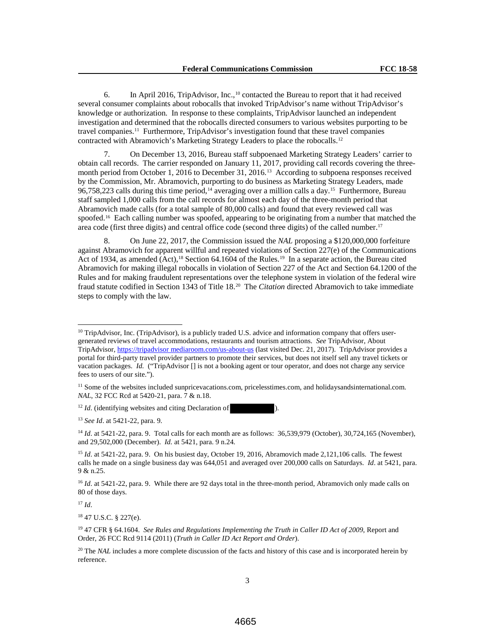6. In April 2016, TripAdvisor, Inc.,10 contacted the Bureau to report that it had received several consumer complaints about robocalls that invoked TripAdvisor's name without TripAdvisor's knowledge or authorization. In response to these complaints, TripAdvisor launched an independent investigation and determined that the robocalls directed consumers to various websites purporting to be travel companies.11 Furthermore, TripAdvisor's investigation found that these travel companies contracted with Abramovich's Marketing Strategy Leaders to place the robocalls.<sup>12</sup>

7. On December 13, 2016, Bureau staff subpoenaed Marketing Strategy Leaders' carrier to obtain call records. The carrier responded on January 11, 2017, providing call records covering the threemonth period from October 1, 2016 to December 31, 2016.13 According to subpoena responses received by the Commission, Mr. Abramovich, purporting to do business as Marketing Strategy Leaders, made 96,758,223 calls during this time period,<sup>14</sup> averaging over a million calls a day.<sup>15</sup> Furthermore, Bureau staff sampled 1,000 calls from the call records for almost each day of the three-month period that Abramovich made calls (for a total sample of 80,000 calls) and found that every reviewed call was spoofed.<sup>16</sup> Each calling number was spoofed, appearing to be originating from a number that matched the area code (first three digits) and central office code (second three digits) of the called number.17

8. On June 22, 2017, the Commission issued the *NAL* proposing a \$120,000,000 forfeiture against Abramovich for apparent willful and repeated violations of Section 227(e) of the Communications Act of 1934, as amended (Act),<sup>18</sup> Section 64.1604 of the Rules.<sup>19</sup> In a separate action, the Bureau cited Abramovich for making illegal robocalls in violation of Section 227 of the Act and Section 64.1200 of the Rules and for making fraudulent representations over the telephone system in violation of the federal wire fraud statute codified in Section 1343 of Title 18.20 The *Citation* directed Abramovich to take immediate steps to comply with the law.

<sup>12</sup> *Id.* (identifying websites and citing Declaration of

<sup>13</sup> *See Id*. at 5421-22, para. 9.

<sup>14</sup> *Id*. at 5421-22, para. 9. Total calls for each month are as follows: 36,539,979 (October), 30,724,165 (November), and 29,502,000 (December). *Id.* at 5421, para. 9 n.24*.* 

 $\overline{a}$ 

<sup>&</sup>lt;sup>10</sup> TripAdvisor, Inc. (TripAdvisor), is a publicly traded U.S. advice and information company that offers usergenerated reviews of travel accommodations, restaurants and tourism attractions. *See* TripAdvisor, About TripAdvisor, https://tripadvisor mediaroom.com/us-about-us (last visited Dec. 21, 2017). TripAdvisor provides a portal for third-party travel provider partners to promote their services, but does not itself sell any travel tickets or vacation packages. *Id.* ("TripAdvisor [] is not a booking agent or tour operator, and does not charge any service fees to users of our site.").

<sup>&</sup>lt;sup>11</sup> Some of the websites included sunpricevacations.com, pricelesstimes.com, and holidaysandsinternational.com. *NAL*, 32 FCC Rcd at 5420-21, para. 7 & n.18.

<sup>15</sup> *Id*. at 5421-22, para. 9.On his busiest day, October 19, 2016, Abramovich made 2,121,106 calls. The fewest calls he made on a single business day was 644,051 and averaged over 200,000 calls on Saturdays. *Id*. at 5421, para. 9 & n.25.

<sup>&</sup>lt;sup>16</sup> *Id.* at 5421-22, para. 9. While there are 92 days total in the three-month period, Abramovich only made calls on 80 of those days.

<sup>17</sup> *Id*.

<sup>18</sup> 47 U.S.C. § 227(e).

<sup>19</sup> 47 CFR § 64.1604. *See Rules and Regulations Implementing the Truth in Caller ID Act of 2009*, Report and Order, 26 FCC Rcd 9114 (2011) (*Truth in Caller ID Act Report and Order*).

<sup>&</sup>lt;sup>20</sup> The *NAL* includes a more complete discussion of the facts and history of this case and is incorporated herein by reference.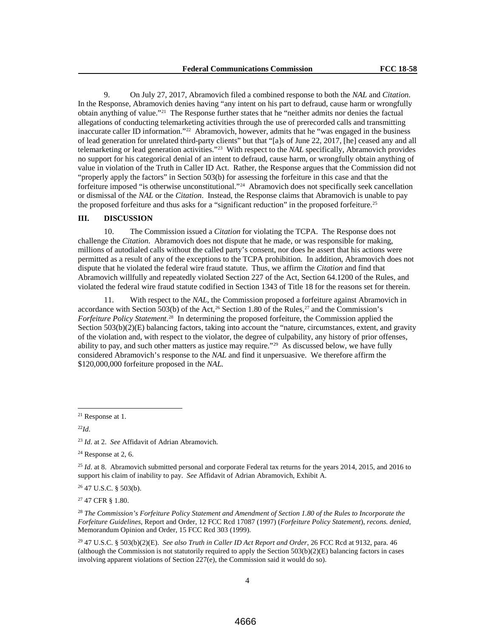9. On July 27, 2017, Abramovich filed a combined response to both the *NAL* and *Citation*. In the Response, Abramovich denies having "any intent on his part to defraud, cause harm or wrongfully obtain anything of value."21 The Response further states that he "neither admits nor denies the factual allegations of conducting telemarketing activities through the use of prerecorded calls and transmitting inaccurate caller ID information."22 Abramovich, however, admits that he "was engaged in the business of lead generation for unrelated third-party clients" but that "[a]s of June 22, 2017, [he] ceased any and all telemarketing or lead generation activities."23 With respect to the *NAL* specifically, Abramovich provides no support for his categorical denial of an intent to defraud, cause harm, or wrongfully obtain anything of value in violation of the Truth in Caller ID Act. Rather, the Response argues that the Commission did not "properly apply the factors" in Section 503(b) for assessing the forfeiture in this case and that the forfeiture imposed "is otherwise unconstitutional."24 Abramovich does not specifically seek cancellation or dismissal of the *NAL* or the *Citation*. Instead, the Response claims that Abramovich is unable to pay the proposed forfeiture and thus asks for a "significant reduction" in the proposed forfeiture.<sup>25</sup>

## **III. DISCUSSION**

10. The Commission issued a *Citation* for violating the TCPA. The Response does not challenge the *Citation*. Abramovich does not dispute that he made, or was responsible for making, millions of autodialed calls without the called party's consent, nor does he assert that his actions were permitted as a result of any of the exceptions to the TCPA prohibition. In addition, Abramovich does not dispute that he violated the federal wire fraud statute. Thus, we affirm the *Citation* and find that Abramovich willfully and repeatedly violated Section 227 of the Act, Section 64.1200 of the Rules, and violated the federal wire fraud statute codified in Section 1343 of Title 18 for the reasons set for therein.

11. With respect to the *NAL*, the Commission proposed a forfeiture against Abramovich in accordance with Section 503(b) of the Act,<sup>26</sup> Section 1.80 of the Rules,<sup>27</sup> and the Commission's *Forfeiture Policy Statement*. 28 In determining the proposed forfeiture, the Commission applied the Section 503(b)(2)(E) balancing factors, taking into account the "nature, circumstances, extent, and gravity of the violation and, with respect to the violator, the degree of culpability, any history of prior offenses, ability to pay, and such other matters as justice may require."29 As discussed below, we have fully considered Abramovich's response to the *NAL* and find it unpersuasive. We therefore affirm the \$120,000,000 forfeiture proposed in the *NAL.*

<sup>22</sup>*Id*.

 $24$  Response at 2, 6.

<sup>25</sup> *Id.* at 8. Abramovich submitted personal and corporate Federal tax returns for the years 2014, 2015, and 2016 to support his claim of inability to pay. *See* Affidavit of Adrian Abramovich, Exhibit A.

<sup>26</sup> 47 U.S.C. § 503(b).

<sup>27</sup> 47 CFR § 1.80.

<sup>28</sup> *The Commission's Forfeiture Policy Statement and Amendment of Section 1.80 of the Rules to Incorporate the Forfeiture Guidelines*, Report and Order, 12 FCC Rcd 17087 (1997) (*Forfeiture Policy Statement*), *recons. denied*, Memorandum Opinion and Order, 15 FCC Rcd 303 (1999).

<sup>29</sup> 47 U.S.C. § 503(b)(2)(E). *See also Truth in Caller ID Act Report and Order*, 26 FCC Rcd at 9132, para. 46 (although the Commission is not statutorily required to apply the Section  $503(b)(2)(E)$  balancing factors in cases involving apparent violations of Section 227(e), the Commission said it would do so).

 <sup>21</sup> Response at 1.

<sup>23</sup> *Id*. at 2. *See* Affidavit of Adrian Abramovich.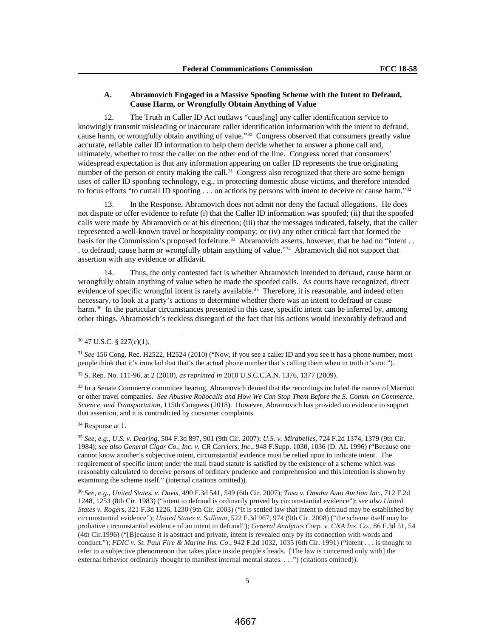# **A. Abramovich Engaged in a Massive Spoofing Scheme with the Intent to Defraud, Cause Harm, or Wrongfully Obtain Anything of Value**

12. The Truth in Caller ID Act outlaws "caus[ing] any caller identification service to knowingly transmit misleading or inaccurate caller identification information with the intent to defraud, cause harm, or wrongfully obtain anything of value."30 Congress observed that consumers greatly value accurate, reliable caller ID information to help them decide whether to answer a phone call and, ultimately, whether to trust the caller on the other end of the line. Congress noted that consumers' widespread expectation is that any information appearing on caller ID represents the true originating number of the person or entity making the call.<sup>31</sup> Congress also recognized that there are some benign uses of caller ID spoofing technology, e.g., in protecting domestic abuse victims, and therefore intended to focus efforts "to curtail ID spoofing . . . on actions by persons with intent to deceive or cause harm."<sup>32</sup>

13. In the Response, Abramovich does not admit nor deny the factual allegations. He does not dispute or offer evidence to refute (i) that the Caller ID information was spoofed; (ii) that the spoofed calls were made by Abramovich or at his direction; (iii) that the messages indicated, falsely, that the caller represented a well-known travel or hospitality company; or (iv) any other critical fact that formed the basis for the Commission's proposed forfeiture.<sup>33</sup> Abramovich asserts, however, that he had no "intent . . . to defraud, cause harm or wrongfully obtain anything of value."34 Abramovich did not support that assertion with any evidence or affidavit.

14. Thus, the only contested fact is whether Abramovich intended to defraud, cause harm or wrongfully obtain anything of value when he made the spoofed calls. As courts have recognized, direct evidence of specific wrongful intent is rarely available.<sup>35</sup> Therefore, it is reasonable, and indeed often necessary, to look at a party's actions to determine whether there was an intent to defraud or cause harm.<sup>36</sup> In the particular circumstances presented in this case, specific intent can be inferred by, among other things, Abramovich's reckless disregard of the fact that his actions would inexorably defraud and

<sup>31</sup> *See* 156 Cong. Rec. H2522, H2524 (2010) ("Now, if you see a caller ID and you see it has a phone number, most people think that it's ironclad that that's the actual phone number that's calling them when in truth it's not.").

<sup>32</sup> S. Rep. No. 111-96, at 2 (2010), *as reprinted in* 2010 U.S.C.C.A.N. 1376, 1377 (2009).

<sup>33</sup> In a Senate Commerce committee hearing, Abramovich denied that the recordings included the names of Marriott or other travel companies. *See Abusive Robocalls and How We Can Stop Them Before the S. Comm. on Commerce, Science, and Transportation*, 115th Congress (2018). However, Abramovich has provided no evidence to support that assertion, and it is contradicted by consumer complaints.

<sup>34</sup> Response at 1.

<sup>35</sup> *See, e.g.*, *U.S. v. Dearing*, 504 F.3d 897, 901 (9th Cir. 2007); *U.S. v. Mirabelles*, 724 F.2d 1374, 1379 (9th Cir. 1984); *see also General Cigar Co., Inc. v. CR Carriers, Inc*., 948 F.Supp. 1030, 1036 (D. AL 1996) ("Because one cannot know another's subjective intent, circumstantial evidence must be relied upon to indicate intent. The requirement of specific intent under the mail fraud statute is satisfied by the existence of a scheme which was reasonably calculated to deceive persons of ordinary prudence and comprehension and this intention is shown by examining the scheme itself." (internal citations omitted)).

<sup>36</sup> *See, e.g.*, *United States. v. Davis*, 490 F.3d 541, 549 (6th Cir. 2007); *Tusa v. Omaha Auto Auction Inc.*, 712 F.2d 1248, 1253 (8th Cir. 1983) ("intent to defraud is ordinarily proved by circumstantial evidence"); *see also United States v. Rogers*, 321 F.3d 1226, 1230 (9th Cir. 2003) ("It is settled law that intent to defraud may be established by circumstantial evidence"); *United States v. Sullivan*, 522 F.3d 967, 974 (9th Cir. 2008) ("the scheme itself may be probative circumstantial evidence of an intent to defraud"); *General Analytics Corp. v. CNA Ins. Co.*, 86 F.3d 51, 54 (4th Cir.1996) ("[B]ecause it is abstract and private, intent is revealed only by its connection with words and conduct."); *FDIC v. St. Paul Fire & Marine Ins. Co*., 942 F.2d 1032, 1035 (6th Cir. 1991) ("intent . . . is thought to refer to a subjective phenomenon that takes place inside people's heads. [The law is concerned only with] the external behavior ordinarily thought to manifest internal mental states. . . .") (citations omitted)).

 $30$  47 U.S.C. § 227(e)(1).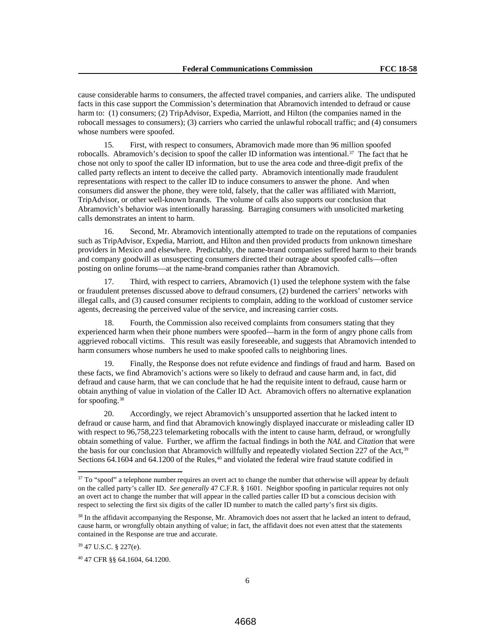cause considerable harms to consumers, the affected travel companies, and carriers alike. The undisputed facts in this case support the Commission's determination that Abramovich intended to defraud or cause harm to: (1) consumers; (2) TripAdvisor, Expedia, Marriott, and Hilton (the companies named in the robocall messages to consumers); (3) carriers who carried the unlawful robocall traffic; and (4) consumers whose numbers were spoofed.

15. First, with respect to consumers, Abramovich made more than 96 million spoofed robocalls. Abramovich's decision to spoof the caller ID information was intentional.<sup>37</sup> The fact that he chose not only to spoof the caller ID information, but to use the area code and three-digit prefix of the called party reflects an intent to deceive the called party. Abramovich intentionally made fraudulent representations with respect to the caller ID to induce consumers to answer the phone. And when consumers did answer the phone, they were told, falsely, that the caller was affiliated with Marriott, TripAdvisor, or other well-known brands. The volume of calls also supports our conclusion that Abramovich's behavior was intentionally harassing. Barraging consumers with unsolicited marketing calls demonstrates an intent to harm.

16. Second, Mr. Abramovich intentionally attempted to trade on the reputations of companies such as TripAdvisor, Expedia, Marriott, and Hilton and then provided products from unknown timeshare providers in Mexico and elsewhere. Predictably, the name-brand companies suffered harm to their brands and company goodwill as unsuspecting consumers directed their outrage about spoofed calls—often posting on online forums—at the name-brand companies rather than Abramovich.

17. Third, with respect to carriers, Abramovich (1) used the telephone system with the false or fraudulent pretenses discussed above to defraud consumers, (2) burdened the carriers' networks with illegal calls, and (3) caused consumer recipients to complain, adding to the workload of customer service agents, decreasing the perceived value of the service, and increasing carrier costs.

18. Fourth, the Commission also received complaints from consumers stating that they experienced harm when their phone numbers were spoofed—harm in the form of angry phone calls from aggrieved robocall victims. This result was easily foreseeable, and suggests that Abramovich intended to harm consumers whose numbers he used to make spoofed calls to neighboring lines.

19. Finally, the Response does not refute evidence and findings of fraud and harm. Based on these facts, we find Abramovich's actions were so likely to defraud and cause harm and, in fact, did defraud and cause harm, that we can conclude that he had the requisite intent to defraud, cause harm or obtain anything of value in violation of the Caller ID Act. Abramovich offers no alternative explanation for spoofing.<sup>38</sup>

20. Accordingly, we reject Abramovich's unsupported assertion that he lacked intent to defraud or cause harm, and find that Abramovich knowingly displayed inaccurate or misleading caller ID with respect to 96,758,223 telemarketing robocalls with the intent to cause harm, defraud, or wrongfully obtain something of value. Further, we affirm the factual findings in both the *NAL* and *Citation* that were the basis for our conclusion that Abramovich willfully and repeatedly violated Section 227 of the Act,<sup>39</sup> Sections 64.1604 and 64.1200 of the Rules,<sup>40</sup> and violated the federal wire fraud statute codified in

 $37$  To "spoof" a telephone number requires an overt act to change the number that otherwise will appear by default on the called party's caller ID. *See generally* 47 C.F.R. § 1601. Neighbor spoofing in particular requires not only an overt act to change the number that will appear in the called parties caller ID but a conscious decision with respect to selecting the first six digits of the caller ID number to match the called party's first six digits.

<sup>&</sup>lt;sup>38</sup> In the affidavit accompanying the Response, Mr. Abramovich does not assert that he lacked an intent to defraud, cause harm, or wrongfully obtain anything of value; in fact, the affidavit does not even attest that the statements contained in the Response are true and accurate.

<sup>39</sup> 47 U.S.C. § 227(e).

<sup>40</sup> 47 CFR §§ 64.1604, 64.1200.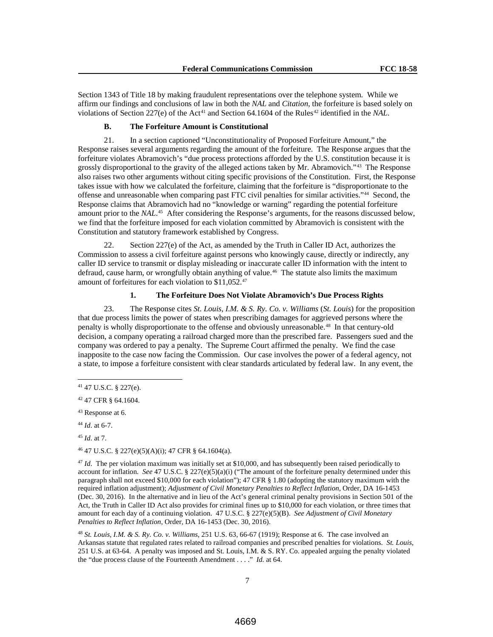Section 1343 of Title 18 by making fraudulent representations over the telephone system. While we affirm our findings and conclusions of law in both the *NAL* and *Citation*, the forfeiture is based solely on violations of Section 227(e) of the Act<sup>41</sup> and Section 64.1604 of the Rules<sup>42</sup> identified in the *NAL*.

#### **B. The Forfeiture Amount is Constitutional**

21. In a section captioned "Unconstitutionality of Proposed Forfeiture Amount," the Response raises several arguments regarding the amount of the forfeiture. The Response argues that the forfeiture violates Abramovich's "due process protections afforded by the U.S. constitution because it is grossly disproportional to the gravity of the alleged actions taken by Mr. Abramovich."43 The Response also raises two other arguments without citing specific provisions of the Constitution. First, the Response takes issue with how we calculated the forfeiture, claiming that the forfeiture is "disproportionate to the offense and unreasonable when comparing past FTC civil penalties for similar activities."44 Second, the Response claims that Abramovich had no "knowledge or warning" regarding the potential forfeiture amount prior to the *NAL*. 45 After considering the Response's arguments, for the reasons discussed below, we find that the forfeiture imposed for each violation committed by Abramovich is consistent with the Constitution and statutory framework established by Congress.

22. Section 227(e) of the Act, as amended by the Truth in Caller ID Act, authorizes the Commission to assess a civil forfeiture against persons who knowingly cause, directly or indirectly, any caller ID service to transmit or display misleading or inaccurate caller ID information with the intent to defraud, cause harm, or wrongfully obtain anything of value. 46 The statute also limits the maximum amount of forfeitures for each violation to \$11,052.47

### **1. The Forfeiture Does Not Violate Abramovich's Due Process Rights**

23. The Response cites *St. Louis, I.M. & S. Ry. Co. v. Williams* (*St. Louis*) for the proposition that due process limits the power of states when prescribing damages for aggrieved persons where the penalty is wholly disproportionate to the offense and obviously unreasonable.48 In that century-old decision, a company operating a railroad charged more than the prescribed fare. Passengers sued and the company was ordered to pay a penalty. The Supreme Court affirmed the penalty. We find the case inapposite to the case now facing the Commission. Our case involves the power of a federal agency, not a state, to impose a forfeiture consistent with clear standards articulated by federal law. In any event, the

<sup>43</sup> Response at 6.

<sup>44</sup> *Id*. at 6-7.

<sup>45</sup> *Id*. at 7.

<sup>46</sup> 47 U.S.C. § 227(e)(5)(A)(i); 47 CFR § 64.1604(a).

<sup>47</sup> *Id.* The per violation maximum was initially set at \$10,000, and has subsequently been raised periodically to account for inflation. *See* 47 U.S.C. § 227(e)(5)(a)(i) ("The amount of the forfeiture penalty determined under this paragraph shall not exceed \$10,000 for each violation"); 47 CFR § 1.80 (adopting the statutory maximum with the required inflation adjustment); *Adjustment of Civil Monetary Penalties to Reflect Inflation*, Order, DA 16-1453 (Dec. 30, 2016). In the alternative and in lieu of the Act's general criminal penalty provisions in Section 501 of the Act, the Truth in Caller ID Act also provides for criminal fines up to \$10,000 for each violation, or three times that amount for each day of a continuing violation. 47 U.S.C. § 227(e)(5)(B). *See Adjustment of Civil Monetary Penalties to Reflect Inflation*, Order, DA 16-1453 (Dec. 30, 2016).

<sup>48</sup> *St. Louis, I.M. & S. Ry. Co. v. Williams*, 251 U.S. 63, 66-67 (1919); Response at 6. The case involved an Arkansas statute that regulated rates related to railroad companies and prescribed penalties for violations. *St. Louis*, 251 U.S. at 63-64. A penalty was imposed and St. Louis, I.M. & S. RY. Co. appealed arguing the penalty violated the "due process clause of the Fourteenth Amendment . . . ." *Id.* at 64.

 <sup>41</sup> 47 U.S.C. § 227(e).

<sup>42</sup> 47 CFR § 64.1604.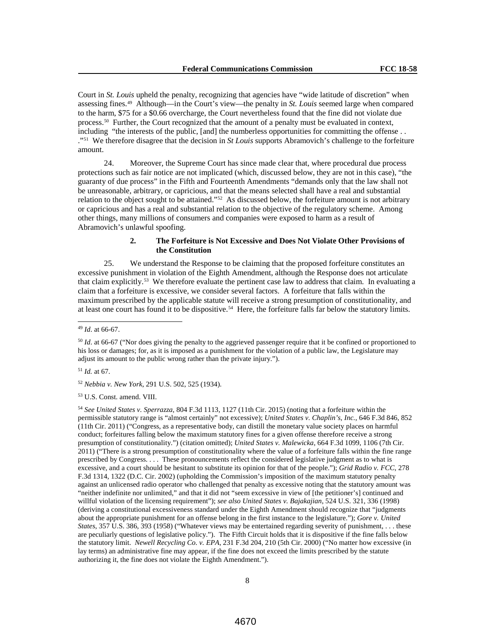Court in *St. Louis* upheld the penalty, recognizing that agencies have "wide latitude of discretion" when assessing fines.49 Although—in the Court's view—the penalty in *St. Louis* seemed large when compared to the harm, \$75 for a \$0.66 overcharge, the Court nevertheless found that the fine did not violate due process.<sup>50</sup> Further, the Court recognized that the amount of a penalty must be evaluated in context, including "the interests of the public, [and] the numberless opportunities for committing the offense . . ."51 We therefore disagree that the decision in *St Louis* supports Abramovich's challenge to the forfeiture amount.

24. Moreover, the Supreme Court has since made clear that, where procedural due process protections such as fair notice are not implicated (which, discussed below, they are not in this case), "the guaranty of due process" in the Fifth and Fourteenth Amendments "demands only that the law shall not be unreasonable, arbitrary, or capricious, and that the means selected shall have a real and substantial relation to the object sought to be attained."52 As discussed below, the forfeiture amount is not arbitrary or capricious and has a real and substantial relation to the objective of the regulatory scheme. Among other things, many millions of consumers and companies were exposed to harm as a result of Abramovich's unlawful spoofing.

# **2. The Forfeiture is Not Excessive and Does Not Violate Other Provisions of the Constitution**

25. We understand the Response to be claiming that the proposed forfeiture constitutes an excessive punishment in violation of the Eighth Amendment, although the Response does not articulate that claim explicitly.53 We therefore evaluate the pertinent case law to address that claim. In evaluating a claim that a forfeiture is excessive, we consider several factors. A forfeiture that falls within the maximum prescribed by the applicable statute will receive a strong presumption of constitutionality, and at least one court has found it to be dispositive. 54 Here, the forfeiture falls far below the statutory limits.

<sup>51</sup> *Id.* at 67.

<sup>52</sup> *Nebbia v. New York*, 291 U.S. 502, 525 (1934).

<sup>53</sup> U.S. Const. amend. VIII.

<sup>54</sup> *See United States v. Sperrazza*, 804 F.3d 1113, 1127 (11th Cir. 2015) (noting that a forfeiture within the permissible statutory range is "almost certainly" not excessive); *United States v. Chaplin's, Inc.*, 646 F.3d 846, 852 (11th Cir. 2011) ("Congress, as a representative body, can distill the monetary value society places on harmful conduct; forfeitures falling below the maximum statutory fines for a given offense therefore receive a strong presumption of constitutionality.") (citation omitted); *United States v. Malewicka*, 664 F.3d 1099, 1106 (7th Cir. 2011) ("There is a strong presumption of constitutionality where the value of a forfeiture falls within the fine range prescribed by Congress. . . . These pronouncements reflect the considered legislative judgment as to what is excessive, and a court should be hesitant to substitute its opinion for that of the people."); *Grid Radio v. FCC*, 278 F.3d 1314, 1322 (D.C. Cir. 2002) (upholding the Commission's imposition of the maximum statutory penalty against an unlicensed radio operator who challenged that penalty as excessive noting that the statutory amount was "neither indefinite nor unlimited," and that it did not "seem excessive in view of [the petitioner's] continued and willful violation of the licensing requirement"); *see also United States v. Bajakajian*, 524 U.S. 321, 336 (1998) (deriving a constitutional excessiveness standard under the Eighth Amendment should recognize that "judgments about the appropriate punishment for an offense belong in the first instance to the legislature."); *Gore v. United States*, 357 U.S. 386, 393 (1958) ("Whatever views may be entertained regarding severity of punishment, . . . these are peculiarly questions of legislative policy."). The Fifth Circuit holds that it is dispositive if the fine falls below the statutory limit. *Newell Recycling Co. v. EPA*, 231 F.3d 204, 210 (5th Cir. 2000) ("No matter how excessive (in lay terms) an administrative fine may appear, if the fine does not exceed the limits prescribed by the statute authorizing it, the fine does not violate the Eighth Amendment.").

 <sup>49</sup> *Id*. at 66-67.

<sup>&</sup>lt;sup>50</sup> *Id.* at 66-67 ("Nor does giving the penalty to the aggrieved passenger require that it be confined or proportioned to his loss or damages; for, as it is imposed as a punishment for the violation of a public law, the Legislature may adjust its amount to the public wrong rather than the private injury.").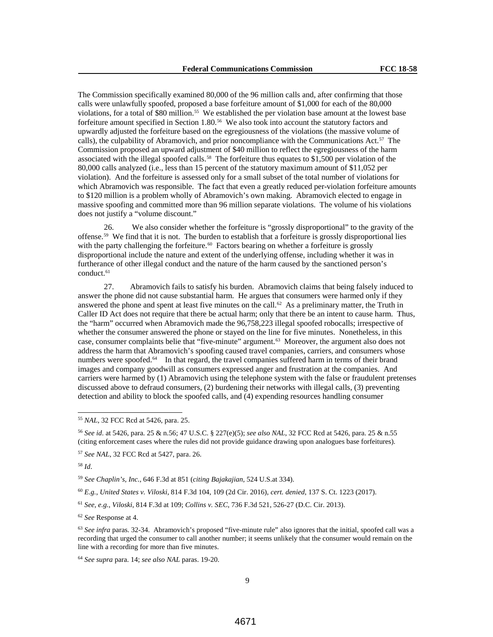The Commission specifically examined 80,000 of the 96 million calls and, after confirming that those calls were unlawfully spoofed, proposed a base forfeiture amount of \$1,000 for each of the 80,000 violations, for a total of \$80 million.55 We established the per violation base amount at the lowest base forfeiture amount specified in Section 1.80.56 We also took into account the statutory factors and upwardly adjusted the forfeiture based on the egregiousness of the violations (the massive volume of calls), the culpability of Abramovich, and prior noncompliance with the Communications Act.<sup>57</sup> The Commission proposed an upward adjustment of \$40 million to reflect the egregiousness of the harm associated with the illegal spoofed calls.<sup>58</sup> The forfeiture thus equates to  $$1,500$  per violation of the 80,000 calls analyzed (i.e., less than 15 percent of the statutory maximum amount of \$11,052 per violation). And the forfeiture is assessed only for a small subset of the total number of violations for which Abramovich was responsible. The fact that even a greatly reduced per-violation forfeiture amounts to \$120 million is a problem wholly of Abramovich's own making. Abramovich elected to engage in massive spoofing and committed more than 96 million separate violations. The volume of his violations does not justify a "volume discount."

26. We also consider whether the forfeiture is "grossly disproportional" to the gravity of the offense.59 We find that it is not. The burden to establish that a forfeiture is grossly disproportional lies with the party challenging the forfeiture.<sup>60</sup> Factors bearing on whether a forfeiture is grossly disproportional include the nature and extent of the underlying offense, including whether it was in furtherance of other illegal conduct and the nature of the harm caused by the sanctioned person's conduct.<sup>61</sup>

27. Abramovich fails to satisfy his burden. Abramovich claims that being falsely induced to answer the phone did not cause substantial harm. He argues that consumers were harmed only if they answered the phone and spent at least five minutes on the call.<sup>62</sup> As a preliminary matter, the Truth in Caller ID Act does not require that there be actual harm; only that there be an intent to cause harm. Thus, the "harm" occurred when Abramovich made the 96,758,223 illegal spoofed robocalls; irrespective of whether the consumer answered the phone or stayed on the line for five minutes. Nonetheless, in this case, consumer complaints belie that "five-minute" argument.63 Moreover, the argument also does not address the harm that Abramovich's spoofing caused travel companies, carriers, and consumers whose numbers were spoofed.<sup>64</sup> In that regard, the travel companies suffered harm in terms of their brand images and company goodwill as consumers expressed anger and frustration at the companies. And carriers were harmed by (1) Abramovich using the telephone system with the false or fraudulent pretenses discussed above to defraud consumers, (2) burdening their networks with illegal calls, (3) preventing detection and ability to block the spoofed calls, and (4) expending resources handling consumer

<sup>58</sup> *Id*.

<sup>59</sup> *See Chaplin's, Inc.*, 646 F.3d at 851 (*citing Bajakajian*, 524 U.S.at 334).

<sup>60</sup> *E.g.*, *United States v. Viloski*, 814 F.3d 104, 109 (2d Cir. 2016), *cert. denied*, 137 S. Ct. 1223 (2017).

<sup>62</sup> *See* Response at 4.

<sup>63</sup> *See infra* paras. 32-34. Abramovich's proposed "five-minute rule" also ignores that the initial, spoofed call was a recording that urged the consumer to call another number; it seems unlikely that the consumer would remain on the line with a recording for more than five minutes.

<sup>64</sup> *See supra* para. 14; *see also NAL* paras. 19-20.

 <sup>55</sup> *NAL*, 32 FCC Rcd at 5426, para. 25.

<sup>56</sup> *See id*. at 5426, para. 25 & n.56; 47 U.S.C. § 227(e)(5); *see also NAL*, 32 FCC Rcd at 5426, para. 25 & n.55 (citing enforcement cases where the rules did not provide guidance drawing upon analogues base forfeitures).

<sup>57</sup> *See NAL*, 32 FCC Rcd at 5427, para. 26.

<sup>61</sup> *See, e.g.*, *Viloski*, 814 F.3d at 109; *Collins v. SEC*, 736 F.3d 521, 526-27 (D.C. Cir. 2013).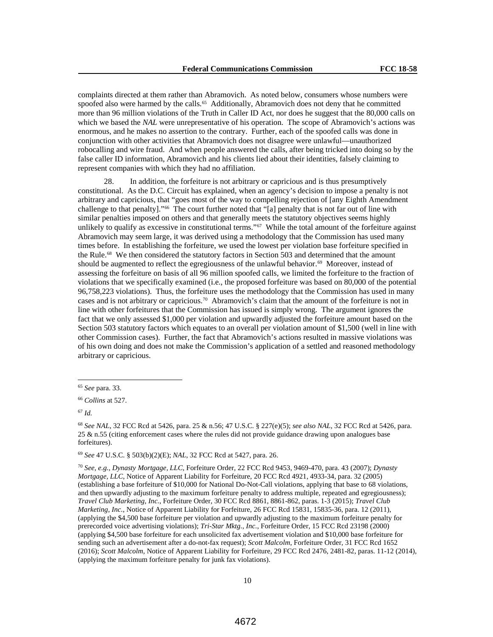complaints directed at them rather than Abramovich. As noted below, consumers whose numbers were spoofed also were harmed by the calls.<sup>65</sup> Additionally, Abramovich does not deny that he committed more than 96 million violations of the Truth in Caller ID Act, nor does he suggest that the 80,000 calls on which we based the *NAL* were unrepresentative of his operation. The scope of Abramovich's actions was enormous, and he makes no assertion to the contrary. Further, each of the spoofed calls was done in conjunction with other activities that Abramovich does not disagree were unlawful—unauthorized robocalling and wire fraud. And when people answered the calls, after being tricked into doing so by the false caller ID information, Abramovich and his clients lied about their identities, falsely claiming to represent companies with which they had no affiliation.

28. In addition, the forfeiture is not arbitrary or capricious and is thus presumptively constitutional. As the D.C. Circuit has explained, when an agency's decision to impose a penalty is not arbitrary and capricious, that "goes most of the way to compelling rejection of [any Eighth Amendment challenge to that penalty]."66 The court further noted that "[a] penalty that is not far out of line with similar penalties imposed on others and that generally meets the statutory objectives seems highly unlikely to qualify as excessive in constitutional terms." $67$  While the total amount of the forfeiture against Abramovich may seem large, it was derived using a methodology that the Commission has used many times before. In establishing the forfeiture, we used the lowest per violation base forfeiture specified in the Rule. 68 We then considered the statutory factors in Section 503 and determined that the amount should be augmented to reflect the egregiousness of the unlawful behavior.<sup>69</sup> Moreover, instead of assessing the forfeiture on basis of all 96 million spoofed calls, we limited the forfeiture to the fraction of violations that we specifically examined (i.e., the proposed forfeiture was based on 80,000 of the potential 96,758,223 violations). Thus, the forfeiture uses the methodology that the Commission has used in many cases and is not arbitrary or capricious. <sup>70</sup> Abramovich's claim that the amount of the forfeiture is not in line with other forfeitures that the Commission has issued is simply wrong. The argument ignores the fact that we only assessed \$1,000 per violation and upwardly adjusted the forfeiture amount based on the Section 503 statutory factors which equates to an overall per violation amount of \$1,500 (well in line with other Commission cases). Further, the fact that Abramovich's actions resulted in massive violations was of his own doing and does not make the Commission's application of a settled and reasoned methodology arbitrary or capricious.

<sup>69</sup> *See* 47 U.S.C. § 503(b)(2)(E); *NAL*, 32 FCC Rcd at 5427, para. 26.

<sup>70</sup> *See, e.g.*, *Dynasty Mortgage, LLC*, Forfeiture Order, 22 FCC Rcd 9453, 9469-470, para. 43 (2007); *Dynasty Mortgage, LLC*, Notice of Apparent Liability for Forfeiture, 20 FCC Rcd 4921, 4933-34, para. 32 (2005) (establishing a base forfeiture of \$10,000 for National Do-Not-Call violations, applying that base to 68 violations, and then upwardly adjusting to the maximum forfeiture penalty to address multiple, repeated and egregiousness); *Travel Club Marketing, Inc.*, Forfeiture Order, 30 FCC Rcd 8861, 8861-862, paras. 1-3 (2015); *Travel Club Marketing, Inc.*, Notice of Apparent Liability for Forfeiture, 26 FCC Rcd 15831, 15835-36, para. 12 (2011), (applying the \$4,500 base forfeiture per violation and upwardly adjusting to the maximum forfeiture penalty for prerecorded voice advertising violations); *Tri-Star Mktg., Inc.*, Forfeiture Order, 15 FCC Rcd 23198 (2000) (applying \$4,500 base forfeiture for each unsolicited fax advertisement violation and \$10,000 base forfeiture for sending such an advertisement after a do-not-fax request); *Scott Malcolm*, Forfeiture Order, 31 FCC Rcd 1652 (2016); *Scott Malcolm*, Notice of Apparent Liability for Forfeiture, 29 FCC Rcd 2476, 2481-82, paras. 11-12 (2014), (applying the maximum forfeiture penalty for junk fax violations).

 <sup>65</sup> *See* para. 33.

<sup>66</sup> *Collins* at 527.

<sup>67</sup> *Id.*

<sup>68</sup> *See NAL*, 32 FCC Rcd at 5426, para. 25 & n.56; 47 U.S.C. § 227(e)(5); *see also NAL*, 32 FCC Rcd at 5426, para. 25 & n.55 (citing enforcement cases where the rules did not provide guidance drawing upon analogues base forfeitures).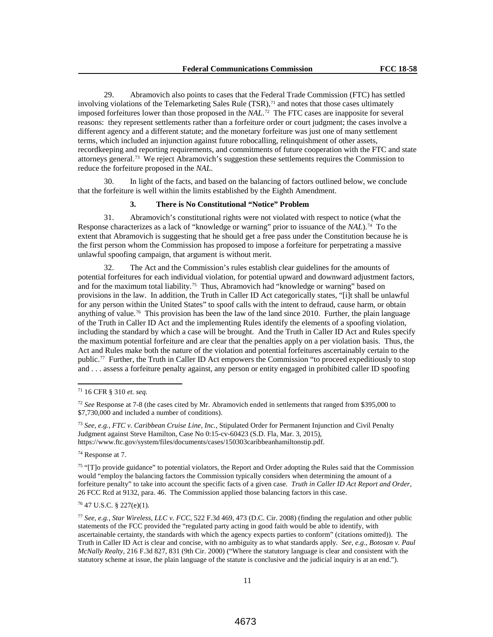29. Abramovich also points to cases that the Federal Trade Commission (FTC) has settled involving violations of the Telemarketing Sales Rule (TSR), <sup>71</sup> and notes that those cases ultimately imposed forfeitures lower than those proposed in the *NAL*. 72 The FTC cases are inapposite for several reasons: they represent settlements rather than a forfeiture order or court judgment; the cases involve a different agency and a different statute; and the monetary forfeiture was just one of many settlement terms, which included an injunction against future robocalling, relinquishment of other assets, recordkeeping and reporting requirements, and commitments of future cooperation with the FTC and state attorneys general.73 We reject Abramovich's suggestion these settlements requires the Commission to reduce the forfeiture proposed in the *NAL*.

30. In light of the facts, and based on the balancing of factors outlined below, we conclude that the forfeiture is well within the limits established by the Eighth Amendment.

# **3. There is No Constitutional "Notice" Problem**

31. Abramovich's constitutional rights were not violated with respect to notice (what the Response characterizes as a lack of "knowledge or warning" prior to issuance of the *NAL*).74 To the extent that Abramovich is suggesting that he should get a free pass under the Constitution because he is the first person whom the Commission has proposed to impose a forfeiture for perpetrating a massive unlawful spoofing campaign, that argument is without merit.

The Act and the Commission's rules establish clear guidelines for the amounts of potential forfeitures for each individual violation, for potential upward and downward adjustment factors, and for the maximum total liability.75 Thus, Abramovich had "knowledge or warning" based on provisions in the law. In addition, the Truth in Caller ID Act categorically states, "[i]t shall be unlawful for any person within the United States" to spoof calls with the intent to defraud, cause harm, or obtain anything of value.<sup>76</sup> This provision has been the law of the land since 2010. Further, the plain language of the Truth in Caller ID Act and the implementing Rules identify the elements of a spoofing violation, including the standard by which a case will be brought. And the Truth in Caller ID Act and Rules specify the maximum potential forfeiture and are clear that the penalties apply on a per violation basis. Thus, the Act and Rules make both the nature of the violation and potential forfeitures ascertainably certain to the public.77 Further, the Truth in Caller ID Act empowers the Commission "to proceed expeditiously to stop and . . . assess a forfeiture penalty against, any person or entity engaged in prohibited caller ID spoofing

<sup>73</sup> *See, e.g.*, *FTC v. Caribbean Cruise Line, Inc.*, Stipulated Order for Permanent Injunction and Civil Penalty Judgment against Steve Hamilton, Case No 0:15-cv-60423 (S.D. Fla, Mar. 3, 2015), https://www.ftc.gov/system/files/documents/cases/150303caribbeanhamiltonstip.pdf.

<sup>74</sup> Response at 7.

<sup>75</sup> "[T]o provide guidance" to potential violators, the Report and Order adopting the Rules said that the Commission would "employ the balancing factors the Commission typically considers when determining the amount of a forfeiture penalty" to take into account the specific facts of a given case. *Truth in Caller ID Act Report and Order*, 26 FCC Rcd at 9132, para. 46. The Commission applied those balancing factors in this case.

<sup>76</sup> 47 U.S.C. § 227(e)(1).

<sup>77</sup> *See, e.g., Star Wireless, LLC v. FCC*, 522 F.3d 469, 473 (D.C. Cir. 2008) (finding the regulation and other public statements of the FCC provided the "regulated party acting in good faith would be able to identify, with ascertainable certainty, the standards with which the agency expects parties to conform" (citations omitted)). The Truth in Caller ID Act is clear and concise, with no ambiguity as to what standards apply. *See, e.g.*, *Botosan v. Paul McNally Realty*, 216 F.3d 827, 831 (9th Cir. 2000) ("Where the statutory language is clear and consistent with the statutory scheme at issue, the plain language of the statute is conclusive and the judicial inquiry is at an end.").

 <sup>71</sup> 16 CFR § 310 *et. seq.*

<sup>72</sup> *See* Response at 7-8 (the cases cited by Mr. Abramovich ended in settlements that ranged from \$395,000 to \$7,730,000 and included a number of conditions).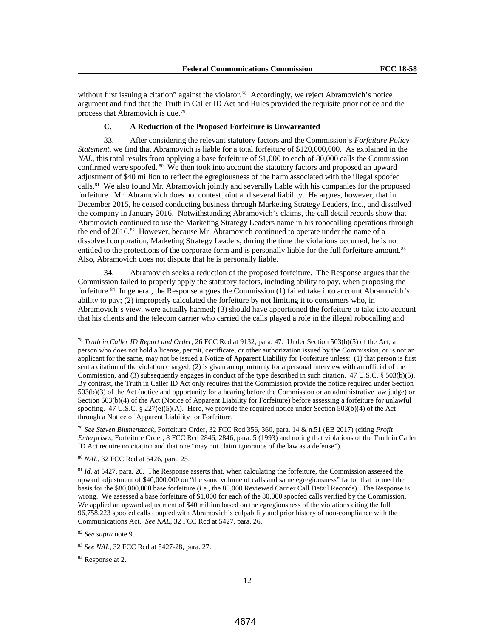without first issuing a citation" against the violator.<sup>78</sup> Accordingly, we reject Abramovich's notice argument and find that the Truth in Caller ID Act and Rules provided the requisite prior notice and the process that Abramovich is due.79

#### **C. A Reduction of the Proposed Forfeiture is Unwarranted**

33. After considering the relevant statutory factors and the Commission's *Forfeiture Policy Statement*, we find that Abramovich is liable for a total forfeiture of \$120,000,000. As explained in the *NAL*, this total results from applying a base forfeiture of \$1,000 to each of 80,000 calls the Commission confirmed were spoofed. 80 We then took into account the statutory factors and proposed an upward adjustment of \$40 million to reflect the egregiousness of the harm associated with the illegal spoofed calls.<sup>81</sup> We also found Mr. Abramovich jointly and severally liable with his companies for the proposed forfeiture. Mr. Abramovich does not contest joint and several liability. He argues, however, that in December 2015, he ceased conducting business through Marketing Strategy Leaders, Inc., and dissolved the company in January 2016. Notwithstanding Abramovich's claims, the call detail records show that Abramovich continued to use the Marketing Strategy Leaders name in his robocalling operations through the end of 2016.82 However, because Mr. Abramovich continued to operate under the name of a dissolved corporation, Marketing Strategy Leaders, during the time the violations occurred, he is not entitled to the protections of the corporate form and is personally liable for the full forfeiture amount.<sup>83</sup> Also, Abramovich does not dispute that he is personally liable.

34. Abramovich seeks a reduction of the proposed forfeiture. The Response argues that the Commission failed to properly apply the statutory factors, including ability to pay, when proposing the forfeiture.84 In general, the Response argues the Commission (1) failed take into account Abramovich's ability to pay; (2) improperly calculated the forfeiture by not limiting it to consumers who, in Abramovich's view, were actually harmed; (3) should have apportioned the forfeiture to take into account that his clients and the telecom carrier who carried the calls played a role in the illegal robocalling and

 <sup>78</sup> *Truth in Caller ID Report and Order*, 26 FCC Rcd at 9132, para. 47. Under Section 503(b)(5) of the Act, a person who does not hold a license, permit, certificate, or other authorization issued by the Commission, or is not an applicant for the same, may not be issued a Notice of Apparent Liability for Forfeiture unless: (1) that person is first sent a citation of the violation charged, (2) is given an opportunity for a personal interview with an official of the Commission, and (3) subsequently engages in conduct of the type described in such citation. 47 U.S.C. § 503(b)(5). By contrast, the Truth in Caller ID Act only requires that the Commission provide the notice required under Section 503(b)(3) of the Act (notice and opportunity for a hearing before the Commission or an administrative law judge) or Section 503(b)(4) of the Act (Notice of Apparent Liability for Forfeiture) before assessing a forfeiture for unlawful spoofing. 47 U.S.C. § 227(e)(5)(A). Here, we provide the required notice under Section 503(b)(4) of the Act through a Notice of Apparent Liability for Forfeiture.

<sup>79</sup> *See Steven Blumenstock*, Forfeiture Order, 32 FCC Rcd 356, 360, para. 14 & n.51 (EB 2017) (citing *Profit Enterprises*, Forfeiture Order, 8 FCC Rcd 2846, 2846, para. 5 (1993) and noting that violations of the Truth in Caller ID Act require no citation and that one "may not claim ignorance of the law as a defense").

<sup>80</sup> *NAL*, 32 FCC Rcd at 5426, para. 25.

<sup>&</sup>lt;sup>81</sup> *Id.* at 5427, para. 26. The Response asserts that, when calculating the forfeiture, the Commission assessed the upward adjustment of \$40,000,000 on "the same volume of calls and same egregiousness" factor that formed the basis for the \$80,000,000 base forfeiture (i.e., the 80,000 Reviewed Carrier Call Detail Records). The Response is wrong. We assessed a base forfeiture of \$1,000 for each of the 80,000 spoofed calls verified by the Commission. We applied an upward adjustment of \$40 million based on the egregiousness of the violations citing the full 96,758,223 spoofed calls coupled with Abramovich's culpability and prior history of non-compliance with the Communications Act. *See NAL*, 32 FCC Rcd at 5427, para. 26.

<sup>82</sup> *See supra* note 9.

<sup>83</sup> *See NAL*, 32 FCC Rcd at 5427-28, para. 27.

<sup>84</sup> Response at 2.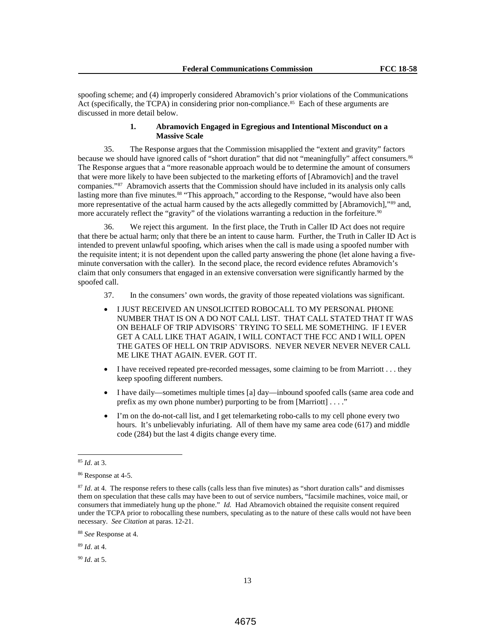spoofing scheme; and (4) improperly considered Abramovich's prior violations of the Communications Act (specifically, the TCPA) in considering prior non-compliance. 85 Each of these arguments are discussed in more detail below.

# **1. Abramovich Engaged in Egregious and Intentional Misconduct on a Massive Scale**

35. The Response argues that the Commission misapplied the "extent and gravity" factors because we should have ignored calls of "short duration" that did not "meaningfully" affect consumers.<sup>86</sup> The Response argues that a "more reasonable approach would be to determine the amount of consumers that were more likely to have been subjected to the marketing efforts of [Abramovich] and the travel companies."87 Abramovich asserts that the Commission should have included in its analysis only calls lasting more than five minutes.<sup>88</sup> "This approach," according to the Response, "would have also been more representative of the actual harm caused by the acts allegedly committed by [Abramovich],"89 and, more accurately reflect the "gravity" of the violations warranting a reduction in the forfeiture.<sup>90</sup>

36. We reject this argument. In the first place, the Truth in Caller ID Act does not require that there be actual harm; only that there be an intent to cause harm. Further, the Truth in Caller ID Act is intended to prevent unlawful spoofing, which arises when the call is made using a spoofed number with the requisite intent; it is not dependent upon the called party answering the phone (let alone having a fiveminute conversation with the caller). In the second place, the record evidence refutes Abramovich's claim that only consumers that engaged in an extensive conversation were significantly harmed by the spoofed call.

- 37. In the consumers' own words, the gravity of those repeated violations was significant.
- I JUST RECEIVED AN UNSOLICITED ROBOCALL TO MY PERSONAL PHONE NUMBER THAT IS ON A DO NOT CALL LIST. THAT CALL STATED THAT IT WAS ON BEHALF OF TRIP ADVISORS` TRYING TO SELL ME SOMETHING. IF I EVER GET A CALL LIKE THAT AGAIN, I WILL CONTACT THE FCC AND I WILL OPEN THE GATES OF HELL ON TRIP ADVISORS. NEVER NEVER NEVER NEVER CALL ME LIKE THAT AGAIN. EVER. GOT IT.
- I have received repeated pre-recorded messages, some claiming to be from Marriott . . . they keep spoofing different numbers.
- I have daily—sometimes multiple times [a] day—inbound spoofed calls (same area code and prefix as my own phone number) purporting to be from [Marriott] . . . ."
- I'm on the do-not-call list, and I get telemarketing robo-calls to my cell phone every two hours. It's unbelievably infuriating. All of them have my same area code (617) and middle code (284) but the last 4 digits change every time.

<sup>90</sup> *Id*. at 5.

 <sup>85</sup> *Id*. at 3.

<sup>86</sup> Response at 4-5.

<sup>&</sup>lt;sup>87</sup> *Id.* at 4. The response refers to these calls (calls less than five minutes) as "short duration calls" and dismisses them on speculation that these calls may have been to out of service numbers, "facsimile machines, voice mail, or consumers that immediately hung up the phone." *Id.* Had Abramovich obtained the requisite consent required under the TCPA prior to robocalling these numbers, speculating as to the nature of these calls would not have been necessary. *See Citation* at paras. 12-21.

<sup>88</sup> *See* Response at 4.

<sup>89</sup> *Id*. at 4.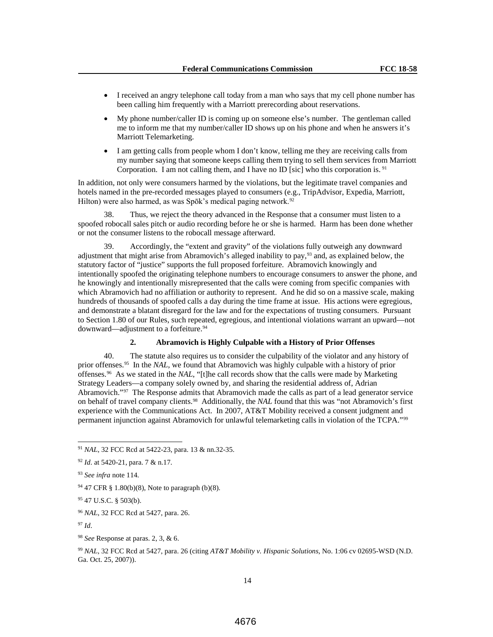- I received an angry telephone call today from a man who says that my cell phone number has been calling him frequently with a Marriott prerecording about reservations.
- My phone number/caller ID is coming up on someone else's number. The gentleman called me to inform me that my number/caller ID shows up on his phone and when he answers it's Marriott Telemarketing.
- I am getting calls from people whom I don't know, telling me they are receiving calls from my number saying that someone keeps calling them trying to sell them services from Marriott Corporation. I am not calling them, and I have no ID [sic] who this corporation is. <sup>91</sup>

In addition, not only were consumers harmed by the violations, but the legitimate travel companies and hotels named in the pre-recorded messages played to consumers (e.g., TripAdvisor, Expedia, Marriott, Hilton) were also harmed, as was Spōk's medical paging network.<sup>92</sup>

38. Thus, we reject the theory advanced in the Response that a consumer must listen to a spoofed robocall sales pitch or audio recording before he or she is harmed. Harm has been done whether or not the consumer listens to the robocall message afterward.

39. Accordingly, the "extent and gravity" of the violations fully outweigh any downward adjustment that might arise from Abramovich's alleged inability to pay,93 and, as explained below, the statutory factor of "justice" supports the full proposed forfeiture. Abramovich knowingly and intentionally spoofed the originating telephone numbers to encourage consumers to answer the phone, and he knowingly and intentionally misrepresented that the calls were coming from specific companies with which Abramovich had no affiliation or authority to represent. And he did so on a massive scale, making hundreds of thousands of spoofed calls a day during the time frame at issue. His actions were egregious, and demonstrate a blatant disregard for the law and for the expectations of trusting consumers. Pursuant to Section 1.80 of our Rules, such repeated, egregious, and intentional violations warrant an upward—not downward—adjustment to a forfeiture.<sup>94</sup>

# **2. Abramovich is Highly Culpable with a History of Prior Offenses**

40. The statute also requires us to consider the culpability of the violator and any history of prior offenses.95 In the *NAL*, we found that Abramovich was highly culpable with a history of prior offenses.96 As we stated in the *NAL*, "[t]he call records show that the calls were made by Marketing Strategy Leaders—a company solely owned by, and sharing the residential address of, Adrian Abramovich."97 The Response admits that Abramovich made the calls as part of a lead generator service on behalf of travel company clients.98 Additionally, the *NAL* found that this was "not Abramovich's first experience with the Communications Act. In 2007, AT&T Mobility received a consent judgment and permanent injunction against Abramovich for unlawful telemarketing calls in violation of the TCPA."99

<sup>97</sup> *Id*.

<sup>99</sup> *NAL*, 32 FCC Rcd at 5427, para. 26 (citing *AT&T Mobility v. Hispanic Solutions*, No. 1:06 cv 02695-WSD (N.D. Ga. Oct. 25, 2007)).

 <sup>91</sup> *NAL*, 32 FCC Rcd at 5422-23, para. 13 & nn.32-35.

<sup>92</sup> *Id*. at 5420-21, para. 7 & n.17.

<sup>93</sup> *See infra* note 114.

<sup>94</sup> 47 CFR § 1.80(b)(8), Note to paragraph (b)(8).

<sup>95</sup> 47 U.S.C. § 503(b).

<sup>96</sup> *NAL*, 32 FCC Rcd at 5427, para. 26.

<sup>98</sup> *See* Response at paras. 2, 3, & 6.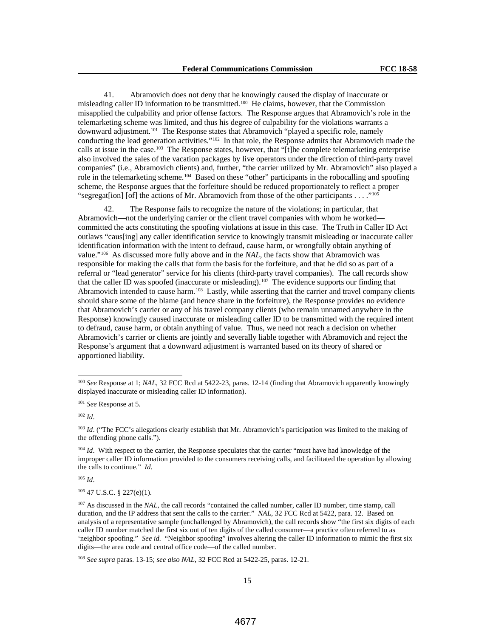41. Abramovich does not deny that he knowingly caused the display of inaccurate or misleading caller ID information to be transmitted.100 He claims, however, that the Commission misapplied the culpability and prior offense factors. The Response argues that Abramovich's role in the telemarketing scheme was limited, and thus his degree of culpability for the violations warrants a downward adjustment.101 The Response states that Abramovich "played a specific role, namely conducting the lead generation activities."<sup>102</sup> In that role, the Response admits that Abramovich made the calls at issue in the case.103 The Response states, however, that "[t]he complete telemarketing enterprise also involved the sales of the vacation packages by live operators under the direction of third-party travel companies" (i.e., Abramovich clients) and, further, "the carrier utilized by Mr. Abramovich" also played a role in the telemarketing scheme.104 Based on these "other" participants in the robocalling and spoofing scheme, the Response argues that the forfeiture should be reduced proportionately to reflect a proper "segregat[ion] [of] the actions of Mr. Abramovich from those of the other participants . . . ."105

42. The Response fails to recognize the nature of the violations; in particular, that Abramovich—not the underlying carrier or the client travel companies with whom he worked committed the acts constituting the spoofing violations at issue in this case. The Truth in Caller ID Act outlaws "caus[ing] any caller identification service to knowingly transmit misleading or inaccurate caller identification information with the intent to defraud, cause harm, or wrongfully obtain anything of value."106 As discussed more fully above and in the *NAL*, the facts show that Abramovich was responsible for making the calls that form the basis for the forfeiture, and that he did so as part of a referral or "lead generator" service for his clients (third-party travel companies). The call records show that the caller ID was spoofed (inaccurate or misleading).<sup>107</sup> The evidence supports our finding that Abramovich intended to cause harm.<sup>108</sup> Lastly, while asserting that the carrier and travel company clients should share some of the blame (and hence share in the forfeiture), the Response provides no evidence that Abramovich's carrier or any of his travel company clients (who remain unnamed anywhere in the Response) knowingly caused inaccurate or misleading caller ID to be transmitted with the required intent to defraud, cause harm, or obtain anything of value. Thus, we need not reach a decision on whether Abramovich's carrier or clients are jointly and severally liable together with Abramovich and reject the Response's argument that a downward adjustment is warranted based on its theory of shared or apportioned liability.

<sup>105</sup> *Id*.

 $106$  47 U.S.C. § 227(e)(1).

 <sup>100</sup> *See* Response at 1; *NAL*, 32 FCC Rcd at 5422-23, paras. 12-14 (finding that Abramovich apparently knowingly displayed inaccurate or misleading caller ID information).

<sup>101</sup> *See* Response at 5.

<sup>102</sup> *Id*.

<sup>&</sup>lt;sup>103</sup> *Id.* ("The FCC's allegations clearly establish that Mr. Abramovich's participation was limited to the making of the offending phone calls.").

<sup>&</sup>lt;sup>104</sup> *Id.* With respect to the carrier, the Response speculates that the carrier "must have had knowledge of the improper caller ID information provided to the consumers receiving calls, and facilitated the operation by allowing the calls to continue." *Id*.

<sup>&</sup>lt;sup>107</sup> As discussed in the *NAL*, the call records "contained the called number, caller ID number, time stamp, call duration, and the IP address that sent the calls to the carrier." *NAL*, 32 FCC Rcd at 5422, para. 12. Based on analysis of a representative sample (unchallenged by Abramovich), the call records show "the first six digits of each caller ID number matched the first six out of ten digits of the called consumer—a practice often referred to as 'neighbor spoofing." *See id.* "Neighbor spoofing" involves altering the caller ID information to mimic the first six digits—the area code and central office code—of the called number.

<sup>108</sup> *See supra* paras. 13-15; *see also NAL*, 32 FCC Rcd at 5422-25, paras. 12-21.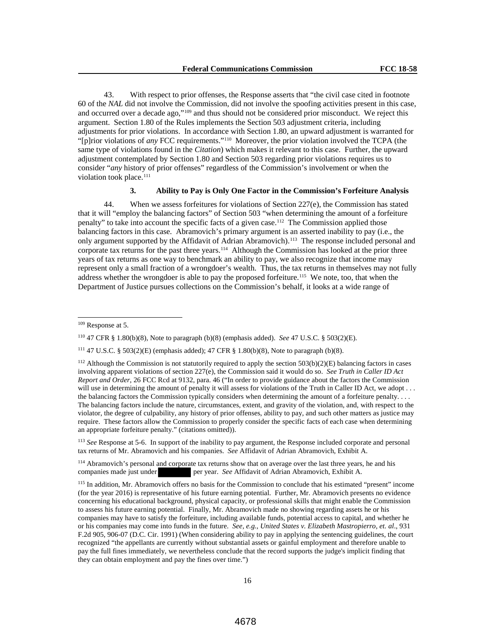43. With respect to prior offenses, the Response asserts that "the civil case cited in footnote 60 of the *NAL* did not involve the Commission, did not involve the spoofing activities present in this case, and occurred over a decade ago,"109 and thus should not be considered prior misconduct. We reject this argument. Section 1.80 of the Rules implements the Section 503 adjustment criteria, including adjustments for prior violations. In accordance with Section 1.80, an upward adjustment is warranted for "[p]rior violations of *any* FCC requirements."110 Moreover, the prior violation involved the TCPA (the same type of violations found in the *Citation*) which makes it relevant to this case. Further, the upward adjustment contemplated by Section 1.80 and Section 503 regarding prior violations requires us to consider "*any* history of prior offenses" regardless of the Commission's involvement or when the violation took place.<sup>111</sup>

## **3. Ability to Pay is Only One Factor in the Commission's Forfeiture Analysis**

44. When we assess forfeitures for violations of Section 227(e), the Commission has stated that it will "employ the balancing factors" of Section 503 "when determining the amount of a forfeiture penalty" to take into account the specific facts of a given case.112 The Commission applied those balancing factors in this case. Abramovich's primary argument is an asserted inability to pay (i.e., the only argument supported by the Affidavit of Adrian Abramovich).<sup>113</sup> The response included personal and corporate tax returns for the past three years.<sup>114</sup> Although the Commission has looked at the prior three years of tax returns as one way to benchmark an ability to pay, we also recognize that income may represent only a small fraction of a wrongdoer's wealth. Thus, the tax returns in themselves may not fully address whether the wrongdoer is able to pay the proposed forfeiture.<sup>115</sup> We note, too, that when the Department of Justice pursues collections on the Commission's behalf, it looks at a wide range of

 $\overline{a}$ 

<sup>113</sup> *See* Response at 5-6. In support of the inability to pay argument, the Response included corporate and personal tax returns of Mr. Abramovich and his companies. *See* Affidavit of Adrian Abramovich, Exhibit A.

<sup>114</sup> Abramovich's personal and corporate tax returns show that on average over the last three years, he and his companies made just under per year. *See* Affidavit of Adrian Abramovich, Exhibit A.

<sup>109</sup> Response at 5.

<sup>110</sup> 47 CFR § 1.80(b)(8), Note to paragraph (b)(8) (emphasis added). *See* 47 U.S.C. § 503(2)(E).

<sup>&</sup>lt;sup>111</sup> 47 U.S.C. § 503(2)(E) (emphasis added); 47 CFR § 1.80(b)(8), Note to paragraph (b)(8).

<sup>&</sup>lt;sup>112</sup> Although the Commission is not statutorily required to apply the section  $503(b)(2)(E)$  balancing factors in cases involving apparent violations of section 227(e), the Commission said it would do so. *See Truth in Caller ID Act Report and Order*, 26 FCC Rcd at 9132, para. 46 ("In order to provide guidance about the factors the Commission will use in determining the amount of penalty it will assess for violations of the Truth in Caller ID Act, we adopt . . . the balancing factors the Commission typically considers when determining the amount of a forfeiture penalty. . . . The balancing factors include the nature, circumstances, extent, and gravity of the violation, and, with respect to the violator, the degree of culpability, any history of prior offenses, ability to pay, and such other matters as justice may require. These factors allow the Commission to properly consider the specific facts of each case when determining an appropriate forfeiture penalty." (citations omitted)).

<sup>115</sup> In addition, Mr. Abramovich offers no basis for the Commission to conclude that his estimated "present" income (for the year 2016) is representative of his future earning potential. Further, Mr. Abramovich presents no evidence concerning his educational background, physical capacity, or professional skills that might enable the Commission to assess his future earning potential. Finally, Mr. Abramovich made no showing regarding assets he or his companies may have to satisfy the forfeiture, including available funds, potential access to capital, and whether he or his companies may come into funds in the future. *See, e.g.*, *United States v. Elizabeth Mastropierro, et. al*., 931 F.2d 905, 906-07 (D.C. Cir. 1991) (When considering ability to pay in applying the sentencing guidelines, the court recognized "the appellants are currently without substantial assets or gainful employment and therefore unable to pay the full fines immediately, we nevertheless conclude that the record supports the judge's implicit finding that they can obtain employment and pay the fines over time.")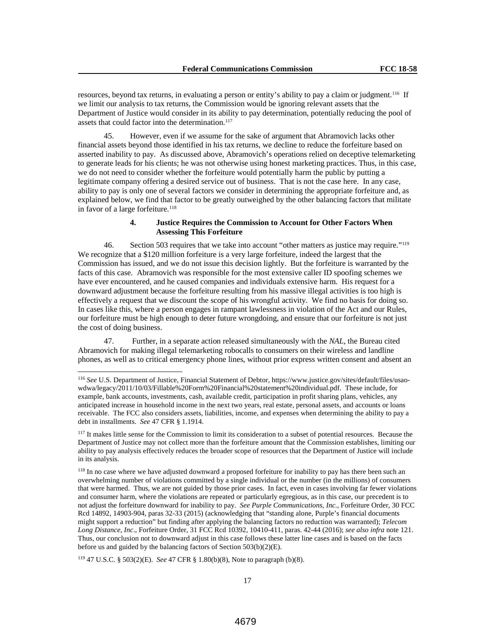resources, beyond tax returns, in evaluating a person or entity's ability to pay a claim or judgment.<sup>116</sup> If we limit our analysis to tax returns, the Commission would be ignoring relevant assets that the Department of Justice would consider in its ability to pay determination, potentially reducing the pool of assets that could factor into the determination.<sup>117</sup>

45. However, even if we assume for the sake of argument that Abramovich lacks other financial assets beyond those identified in his tax returns, we decline to reduce the forfeiture based on asserted inability to pay. As discussed above, Abramovich's operations relied on deceptive telemarketing to generate leads for his clients; he was not otherwise using honest marketing practices. Thus, in this case, we do not need to consider whether the forfeiture would potentially harm the public by putting a legitimate company offering a desired service out of business. That is not the case here. In any case, ability to pay is only one of several factors we consider in determining the appropriate forfeiture and, as explained below, we find that factor to be greatly outweighed by the other balancing factors that militate in favor of a large forfeiture.<sup>118</sup>

# **4. Justice Requires the Commission to Account for Other Factors When Assessing This Forfeiture**

46. Section 503 requires that we take into account "other matters as justice may require."119 We recognize that a \$120 million forfeiture is a very large forfeiture, indeed the largest that the Commission has issued, and we do not issue this decision lightly. But the forfeiture is warranted by the facts of this case. Abramovich was responsible for the most extensive caller ID spoofing schemes we have ever encountered, and he caused companies and individuals extensive harm. His request for a downward adjustment because the forfeiture resulting from his massive illegal activities is too high is effectively a request that we discount the scope of his wrongful activity. We find no basis for doing so. In cases like this, where a person engages in rampant lawlessness in violation of the Act and our Rules, our forfeiture must be high enough to deter future wrongdoing, and ensure that our forfeiture is not just the cost of doing business.

47. Further, in a separate action released simultaneously with the *NAL*, the Bureau cited Abramovich for making illegal telemarketing robocalls to consumers on their wireless and landline phones, as well as to critical emergency phone lines, without prior express written consent and absent an

<sup>119</sup> 47 U.S.C. § 503(2)(E). *See* 47 CFR § 1.80(b)(8), Note to paragraph (b)(8).

 <sup>116</sup> *See* U.S. Department of Justice, Financial Statement of Debtor, https://www.justice.gov/sites/default/files/usaowdwa/legacy/2011/10/03/Fillable%20Form%20Financial%20statement%20individual.pdf. These include, for example, bank accounts, investments, cash, available credit, participation in profit sharing plans, vehicles, any anticipated increase in household income in the next two years, real estate, personal assets, and accounts or loans receivable. The FCC also considers assets, liabilities, income, and expenses when determining the ability to pay a debt in installments. *See* 47 CFR § 1.1914.

<sup>&</sup>lt;sup>117</sup> It makes little sense for the Commission to limit its consideration to a subset of potential resources. Because the Department of Justice may not collect more than the forfeiture amount that the Commission establishes, limiting our ability to pay analysis effectively reduces the broader scope of resources that the Department of Justice will include in its analysis.

<sup>&</sup>lt;sup>118</sup> In no case where we have adjusted downward a proposed forfeiture for inability to pay has there been such an overwhelming number of violations committed by a single individual or the number (in the millions) of consumers that were harmed. Thus, we are not guided by those prior cases. In fact, even in cases involving far fewer violations and consumer harm, where the violations are repeated or particularly egregious, as in this case, our precedent is to not adjust the forfeiture downward for inability to pay. *See Purple Communications, Inc*., Forfeiture Order, 30 FCC Rcd 14892, 14903-904, paras 32-33 (2015) (acknowledging that "standing alone, Purple's financial documents might support a reduction" but finding after applying the balancing factors no reduction was warranted); *Telecom Long Distance, Inc*., Forfeiture Order, 31 FCC Rcd 10392, 10410-411, paras. 42-44 (2016); *see also infra* note 121. Thus, our conclusion not to downward adjust in this case follows these latter line cases and is based on the facts before us and guided by the balancing factors of Section 503(b)(2)(E).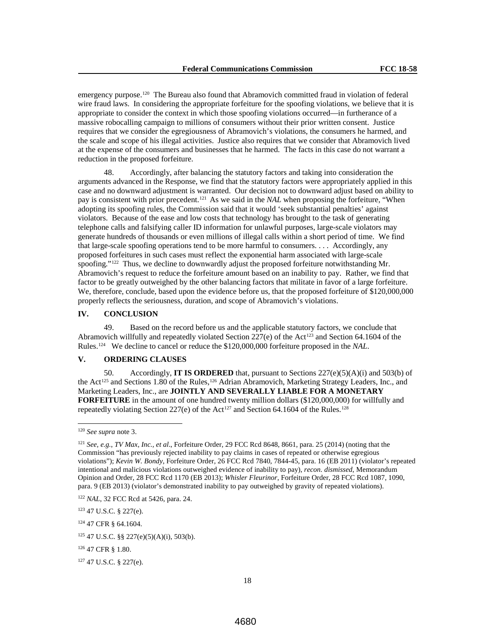emergency purpose.<sup>120</sup> The Bureau also found that Abramovich committed fraud in violation of federal wire fraud laws. In considering the appropriate forfeiture for the spoofing violations, we believe that it is appropriate to consider the context in which those spoofing violations occurred—in furtherance of a massive robocalling campaign to millions of consumers without their prior written consent. Justice requires that we consider the egregiousness of Abramovich's violations, the consumers he harmed, and the scale and scope of his illegal activities. Justice also requires that we consider that Abramovich lived at the expense of the consumers and businesses that he harmed. The facts in this case do not warrant a reduction in the proposed forfeiture.

48. Accordingly, after balancing the statutory factors and taking into consideration the arguments advanced in the Response, we find that the statutory factors were appropriately applied in this case and no downward adjustment is warranted. Our decision not to downward adjust based on ability to pay is consistent with prior precedent.<sup>121</sup> As we said in the *NAL* when proposing the forfeiture, "When adopting its spoofing rules, the Commission said that it would 'seek substantial penalties' against violators. Because of the ease and low costs that technology has brought to the task of generating telephone calls and falsifying caller ID information for unlawful purposes, large-scale violators may generate hundreds of thousands or even millions of illegal calls within a short period of time. We find that large-scale spoofing operations tend to be more harmful to consumers. . . . Accordingly, any proposed forfeitures in such cases must reflect the exponential harm associated with large-scale spoofing."<sup>122</sup> Thus, we decline to downwardly adjust the proposed forfeiture notwithstanding Mr. Abramovich's request to reduce the forfeiture amount based on an inability to pay. Rather, we find that factor to be greatly outweighed by the other balancing factors that militate in favor of a large forfeiture. We, therefore, conclude, based upon the evidence before us, that the proposed forfeiture of \$120,000,000 properly reflects the seriousness, duration, and scope of Abramovich's violations.

## **IV. CONCLUSION**

49. Based on the record before us and the applicable statutory factors, we conclude that Abramovich willfully and repeatedly violated Section  $227(e)$  of the Act<sup>123</sup> and Section 64.1604 of the Rules. 124 We decline to cancel or reduce the \$120,000,000 forfeiture proposed in the *NAL*.

# **V. ORDERING CLAUSES**

50. Accordingly, **IT IS ORDERED** that, pursuant to Sections 227(e)(5)(A)(i) and 503(b) of the Act<sup>125</sup> and Sections 1.80 of the Rules,<sup>126</sup> Adrian Abramovich, Marketing Strategy Leaders, Inc., and Marketing Leaders, Inc., are **JOINTLY AND SEVERALLY LIABLE FOR A MONETARY FORFEITURE** in the amount of one hundred twenty million dollars (\$120,000,000) for willfully and repeatedly violating Section 227(e) of the Act<sup>127</sup> and Section 64.1604 of the Rules.<sup>128</sup>

<sup>123</sup> 47 U.S.C. § 227(e).

<sup>124</sup> 47 CFR § 64.1604.

 <sup>120</sup> *See supra* note 3.

<sup>121</sup> *See, e.g.*, *TV Max, Inc., et al*., Forfeiture Order, 29 FCC Rcd 8648, 8661, para. 25 (2014) (noting that the Commission "has previously rejected inability to pay claims in cases of repeated or otherwise egregious violations"); *Kevin W. Bondy*, Forfeiture Order, 26 FCC Rcd 7840, 7844-45, para. 16 (EB 2011) (violator's repeated intentional and malicious violations outweighed evidence of inability to pay), *recon. dismissed*, Memorandum Opinion and Order, 28 FCC Rcd 1170 (EB 2013); *Whisler Fleurinor*, Forfeiture Order, 28 FCC Rcd 1087, 1090, para. 9 (EB 2013) (violator's demonstrated inability to pay outweighed by gravity of repeated violations).

<sup>122</sup> *NAL*, 32 FCC Rcd at 5426, para. 24.

<sup>125</sup> 47 U.S.C. §§ 227(e)(5)(A)(i), 503(b).

<sup>126</sup> 47 CFR § 1.80.

<sup>127</sup> 47 U.S.C. § 227(e).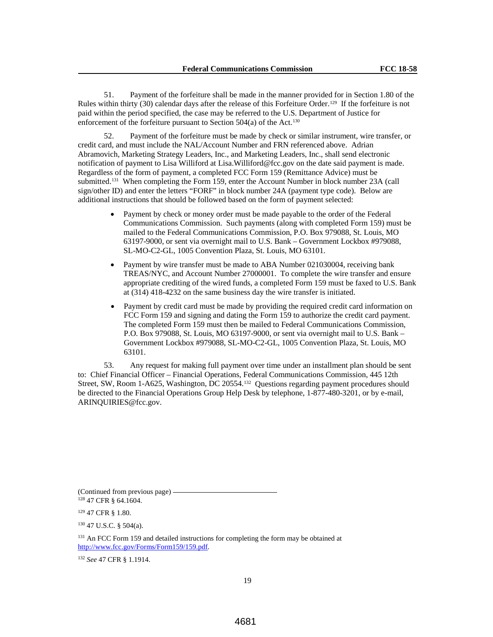51. Payment of the forfeiture shall be made in the manner provided for in Section 1.80 of the Rules within thirty (30) calendar days after the release of this Forfeiture Order.129 If the forfeiture is not paid within the period specified, the case may be referred to the U.S. Department of Justice for enforcement of the forfeiture pursuant to Section 504(a) of the Act.<sup>130</sup>

52. Payment of the forfeiture must be made by check or similar instrument, wire transfer, or credit card, and must include the NAL/Account Number and FRN referenced above. Adrian Abramovich, Marketing Strategy Leaders, Inc., and Marketing Leaders, Inc., shall send electronic notification of payment to Lisa Williford at Lisa.Williford@fcc.gov on the date said payment is made. Regardless of the form of payment, a completed FCC Form 159 (Remittance Advice) must be submitted.<sup>131</sup> When completing the Form 159, enter the Account Number in block number 23A (call sign/other ID) and enter the letters "FORF" in block number 24A (payment type code). Below are additional instructions that should be followed based on the form of payment selected:

- Payment by check or money order must be made payable to the order of the Federal Communications Commission. Such payments (along with completed Form 159) must be mailed to the Federal Communications Commission, P.O. Box 979088, St. Louis, MO 63197-9000, or sent via overnight mail to U.S. Bank – Government Lockbox #979088, SL-MO-C2-GL, 1005 Convention Plaza, St. Louis, MO 63101.
- Payment by wire transfer must be made to ABA Number 021030004, receiving bank TREAS/NYC, and Account Number 27000001. To complete the wire transfer and ensure appropriate crediting of the wired funds, a completed Form 159 must be faxed to U.S. Bank at (314) 418-4232 on the same business day the wire transfer is initiated.
- Payment by credit card must be made by providing the required credit card information on FCC Form 159 and signing and dating the Form 159 to authorize the credit card payment. The completed Form 159 must then be mailed to Federal Communications Commission, P.O. Box 979088, St. Louis, MO 63197-9000, or sent via overnight mail to U.S. Bank – Government Lockbox #979088, SL-MO-C2-GL, 1005 Convention Plaza, St. Louis, MO 63101.

53. Any request for making full payment over time under an installment plan should be sent to: Chief Financial Officer – Financial Operations, Federal Communications Commission, 445 12th Street, SW, Room 1-A625, Washington, DC 20554.132 Questions regarding payment procedures should be directed to the Financial Operations Group Help Desk by telephone, 1-877-480-3201, or by e-mail, ARINQUIRIES@fcc.gov.

(Continued from previous page)  $-$ <sup>128</sup> 47 CFR § 64.1604.

<sup>129</sup> 47 CFR § 1.80*.*

<sup>130</sup> 47 U.S.C. § 504(a).

<sup>131</sup> An FCC Form 159 and detailed instructions for completing the form may be obtained at http://www.fcc.gov/Forms/Form159/159.pdf.

<sup>132</sup> *See* 47 CFR § 1.1914.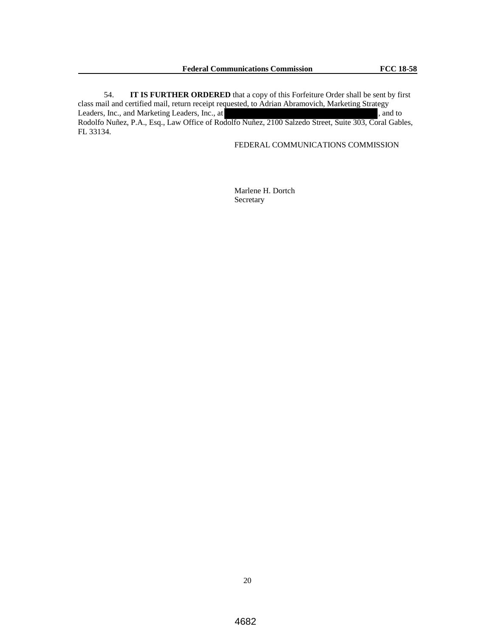54. **IT IS FURTHER ORDERED** that a copy of this Forfeiture Order shall be sent by first class mail and certified mail, return receipt requested, to Adrian Abramovich, Marketing Strategy Leaders, Inc., and Marketing Leaders, Inc., at , and to , and to Rodolfo Nuñez, P.A., Esq., Law Office of Rodolfo Nuñez, 2100 Salzedo Street, Suite 303, Coral Gables, FL 33134.

FEDERAL COMMUNICATIONS COMMISSION

 Marlene H. Dortch Secretary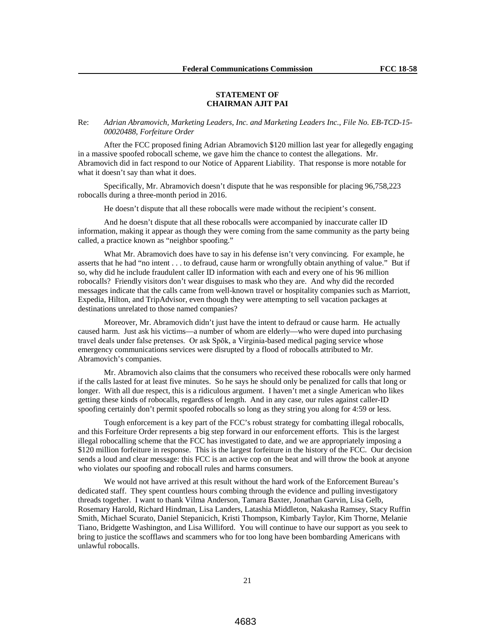#### **STATEMENT OF CHAIRMAN AJIT PAI**

#### Re: *Adrian Abramovich, Marketing Leaders, Inc. and Marketing Leaders Inc., File No. EB-TCD-15- 00020488, Forfeiture Order*

After the FCC proposed fining Adrian Abramovich \$120 million last year for allegedly engaging in a massive spoofed robocall scheme, we gave him the chance to contest the allegations. Mr. Abramovich did in fact respond to our Notice of Apparent Liability. That response is more notable for what it doesn't say than what it does.

Specifically, Mr. Abramovich doesn't dispute that he was responsible for placing 96,758,223 robocalls during a three-month period in 2016.

He doesn't dispute that all these robocalls were made without the recipient's consent.

And he doesn't dispute that all these robocalls were accompanied by inaccurate caller ID information, making it appear as though they were coming from the same community as the party being called, a practice known as "neighbor spoofing."

What Mr. Abramovich does have to say in his defense isn't very convincing. For example, he asserts that he had "no intent . . . to defraud, cause harm or wrongfully obtain anything of value." But if so, why did he include fraudulent caller ID information with each and every one of his 96 million robocalls? Friendly visitors don't wear disguises to mask who they are. And why did the recorded messages indicate that the calls came from well-known travel or hospitality companies such as Marriott, Expedia, Hilton, and TripAdvisor, even though they were attempting to sell vacation packages at destinations unrelated to those named companies?

Moreover, Mr. Abramovich didn't just have the intent to defraud or cause harm. He actually caused harm. Just ask his victims—a number of whom are elderly—who were duped into purchasing travel deals under false pretenses. Or ask Spōk, a Virginia-based medical paging service whose emergency communications services were disrupted by a flood of robocalls attributed to Mr. Abramovich's companies.

Mr. Abramovich also claims that the consumers who received these robocalls were only harmed if the calls lasted for at least five minutes. So he says he should only be penalized for calls that long or longer. With all due respect, this is a ridiculous argument. I haven't met a single American who likes getting these kinds of robocalls, regardless of length. And in any case, our rules against caller-ID spoofing certainly don't permit spoofed robocalls so long as they string you along for 4:59 or less.

Tough enforcement is a key part of the FCC's robust strategy for combatting illegal robocalls, and this Forfeiture Order represents a big step forward in our enforcement efforts. This is the largest illegal robocalling scheme that the FCC has investigated to date, and we are appropriately imposing a \$120 million forfeiture in response. This is the largest forfeiture in the history of the FCC. Our decision sends a loud and clear message: this FCC is an active cop on the beat and will throw the book at anyone who violates our spoofing and robocall rules and harms consumers.

We would not have arrived at this result without the hard work of the Enforcement Bureau's dedicated staff. They spent countless hours combing through the evidence and pulling investigatory threads together. I want to thank Vilma Anderson, Tamara Baxter, Jonathan Garvin, Lisa Gelb, Rosemary Harold, Richard Hindman, Lisa Landers, Latashia Middleton, Nakasha Ramsey, Stacy Ruffin Smith, Michael Scurato, Daniel Stepanicich, Kristi Thompson, Kimbarly Taylor, Kim Thorne, Melanie Tiano, Bridgette Washington, and Lisa Williford. You will continue to have our support as you seek to bring to justice the scofflaws and scammers who for too long have been bombarding Americans with unlawful robocalls.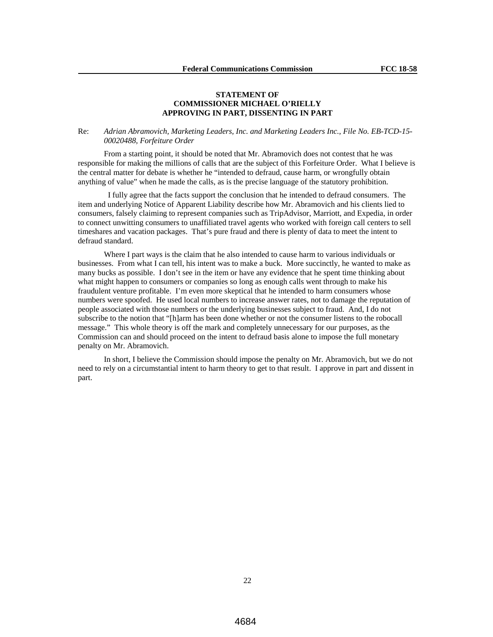## **STATEMENT OF COMMISSIONER MICHAEL O'RIELLY APPROVING IN PART, DISSENTING IN PART**

## Re: *Adrian Abramovich, Marketing Leaders, Inc. and Marketing Leaders Inc., File No. EB-TCD-15- 00020488, Forfeiture Order*

From a starting point, it should be noted that Mr. Abramovich does not contest that he was responsible for making the millions of calls that are the subject of this Forfeiture Order. What I believe is the central matter for debate is whether he "intended to defraud, cause harm, or wrongfully obtain anything of value" when he made the calls, as is the precise language of the statutory prohibition.

 I fully agree that the facts support the conclusion that he intended to defraud consumers. The item and underlying Notice of Apparent Liability describe how Mr. Abramovich and his clients lied to consumers, falsely claiming to represent companies such as TripAdvisor, Marriott, and Expedia, in order to connect unwitting consumers to unaffiliated travel agents who worked with foreign call centers to sell timeshares and vacation packages. That's pure fraud and there is plenty of data to meet the intent to defraud standard.

Where I part ways is the claim that he also intended to cause harm to various individuals or businesses. From what I can tell, his intent was to make a buck. More succinctly, he wanted to make as many bucks as possible. I don't see in the item or have any evidence that he spent time thinking about what might happen to consumers or companies so long as enough calls went through to make his fraudulent venture profitable. I'm even more skeptical that he intended to harm consumers whose numbers were spoofed. He used local numbers to increase answer rates, not to damage the reputation of people associated with those numbers or the underlying businesses subject to fraud. And, I do not subscribe to the notion that "[h]arm has been done whether or not the consumer listens to the robocall message." This whole theory is off the mark and completely unnecessary for our purposes, as the Commission can and should proceed on the intent to defraud basis alone to impose the full monetary penalty on Mr. Abramovich.

In short, I believe the Commission should impose the penalty on Mr. Abramovich, but we do not need to rely on a circumstantial intent to harm theory to get to that result. I approve in part and dissent in part.

22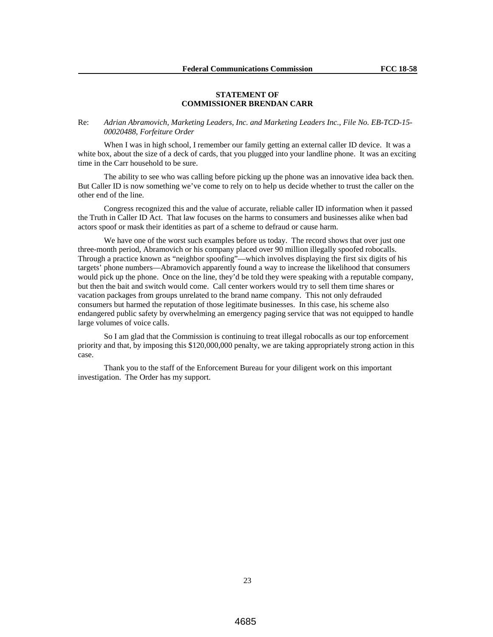## **STATEMENT OF COMMISSIONER BRENDAN CARR**

Re: *Adrian Abramovich, Marketing Leaders, Inc. and Marketing Leaders Inc., File No. EB-TCD-15- 00020488, Forfeiture Order*

When I was in high school, I remember our family getting an external caller ID device. It was a white box, about the size of a deck of cards, that you plugged into your landline phone. It was an exciting time in the Carr household to be sure.

The ability to see who was calling before picking up the phone was an innovative idea back then. But Caller ID is now something we've come to rely on to help us decide whether to trust the caller on the other end of the line.

Congress recognized this and the value of accurate, reliable caller ID information when it passed the Truth in Caller ID Act. That law focuses on the harms to consumers and businesses alike when bad actors spoof or mask their identities as part of a scheme to defraud or cause harm.

We have one of the worst such examples before us today. The record shows that over just one three-month period, Abramovich or his company placed over 90 million illegally spoofed robocalls. Through a practice known as "neighbor spoofing"—which involves displaying the first six digits of his targets' phone numbers—Abramovich apparently found a way to increase the likelihood that consumers would pick up the phone. Once on the line, they'd be told they were speaking with a reputable company, but then the bait and switch would come. Call center workers would try to sell them time shares or vacation packages from groups unrelated to the brand name company. This not only defrauded consumers but harmed the reputation of those legitimate businesses. In this case, his scheme also endangered public safety by overwhelming an emergency paging service that was not equipped to handle large volumes of voice calls.

So I am glad that the Commission is continuing to treat illegal robocalls as our top enforcement priority and that, by imposing this \$120,000,000 penalty, we are taking appropriately strong action in this case.

Thank you to the staff of the Enforcement Bureau for your diligent work on this important investigation. The Order has my support.

23